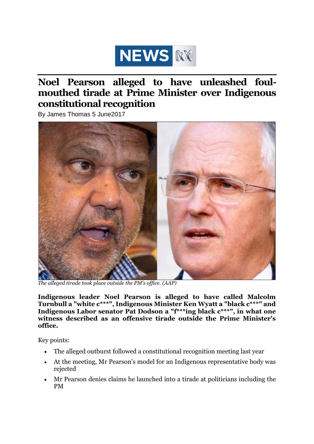

## **Noel Pearson alleged to have unleashed foulmouthed tirade at Prime Minister over Indigenous constitutional recognition**

By [James Thomas](http://www.abc.net.au/news/james-thomas/6989268) 5 June2017



*[The alleged tirade took place outside the PM's office.](http://www.abc.net.au/news/2017-06-05/noel-pearson-and-malcolm-turnbull/8583362) (AAP)*

**Indigenous leader Noel Pearson is alleged to have called Malcolm Turnbull a "white c\*\*\*", Indigenous Minister Ken Wyatt a "black c\*\*\*" and Indigenous Labor senator Pat Dodson a "f\*\*\*ing black c\*\*\*", in what one witness described as an offensive tirade outside the Prime Minister's office.**

Key points:

- The alleged outburst followed a constitutional recognition meeting last year
- At the meeting, Mr Pearson's model for an Indigenous representative body was rejected
- Mr Pearson denies claims he launched into a tirade at politicians including the PM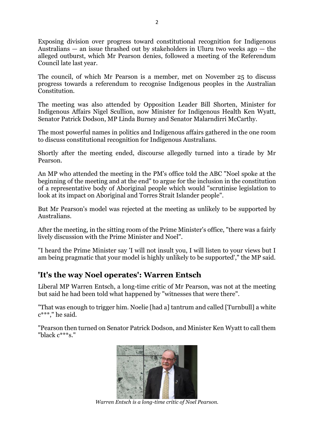Exposing division over progress toward constitutional recognition for Indigenous Australians  $-$  an issue thrashed out by stakeholders in Uluru two weeks ago  $-$  the alleged outburst, which Mr Pearson denies, followed a meeting of the Referendum Council late last year.

The council, of which Mr Pearson is a member, met on November 25 to discuss progress towards a referendum to recognise Indigenous peoples in the Australian Constitution.

The meeting was also attended by Opposition Leader Bill Shorten, Minister for Indigenous Affairs Nigel Scullion, now Minister for Indigenous Health Ken Wyatt, Senator Patrick Dodson, MP Linda Burney and Senator Malarndirri McCarthy.

The most powerful names in politics and Indigenous affairs gathered in the one room to discuss constitutional recognition for Indigenous Australians.

Shortly after the meeting ended, discourse allegedly turned into a tirade by Mr Pearson.

An MP who attended the meeting in the PM's office told the ABC "Noel spoke at the beginning of the meeting and at the end" to argue for the inclusion in the constitution of a representative body of Aboriginal people which would "scrutinise legislation to look at its impact on Aboriginal and Torres Strait Islander people".

But Mr Pearson's model was rejected at the meeting as unlikely to be supported by Australians.

After the meeting, in the sitting room of the Prime Minister's office, "there was a fairly lively discussion with the Prime Minister and Noel".

"I heard the Prime Minister say 'I will not insult you, I will listen to your views but I am being pragmatic that your model is highly unlikely to be supported'," the MP said.

## **'It's the way Noel operates': Warren Entsch**

Liberal MP Warren Entsch, a long-time critic of Mr Pearson, was not at the meeting but said he had been told what happened by "witnesses that were there".

"That was enough to trigger him. Noelie [had a] tantrum and called [Turnbull] a white c\*\*\*," he said.

"Pearson then turned on Senator Patrick Dodson, and Minister Ken Wyatt to call them "black c\*\*\*s."



*Warren Entsch is a long-time critic of Noel Pearson.*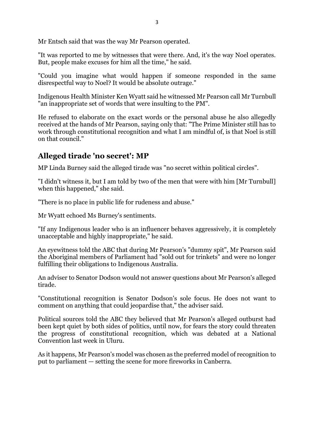Mr Entsch said that was the way Mr Pearson operated.

"It was reported to me by witnesses that were there. And, it's the way Noel operates. But, people make excuses for him all the time," he said.

"Could you imagine what would happen if someone responded in the same disrespectful way to Noel? It would be absolute outrage."

Indigenous Health Minister Ken Wyatt said he witnessed Mr Pearson call Mr Turnbull "an inappropriate set of words that were insulting to the PM".

He refused to elaborate on the exact words or the personal abuse he also allegedly received at the hands of Mr Pearson, saying only that: "The Prime Minister still has to work through constitutional recognition and what I am mindful of, is that Noel is still on that council."

## **Alleged tirade 'no secret': MP**

MP Linda Burney said the alleged tirade was "no secret within political circles".

"I didn't witness it, but I am told by two of the men that were with him [Mr Turnbull] when this happened," she said.

"There is no place in public life for rudeness and abuse."

Mr Wyatt echoed Ms Burney's sentiments.

"If any Indigenous leader who is an influencer behaves aggressively, it is completely unacceptable and highly inappropriate," he said.

An eyewitness told the ABC that during Mr Pearson's "dummy spit", Mr Pearson said the Aboriginal members of Parliament had "sold out for trinkets" and were no longer fulfilling their obligations to Indigenous Australia.

An adviser to Senator Dodson would not answer questions about Mr Pearson's alleged tirade.

"Constitutional recognition is Senator Dodson's sole focus. He does not want to comment on anything that could jeopardise that," the adviser said.

Political sources told the ABC they believed that Mr Pearson's alleged outburst had been kept quiet by both sides of politics, until now, for fears the story could threaten the progress of constitutional recognition, which was debated at a National Convention last week in Uluru.

As it happens, Mr Pearson's model was chosen as the preferred model of recognition to put to parliament — setting the scene for more fireworks in Canberra.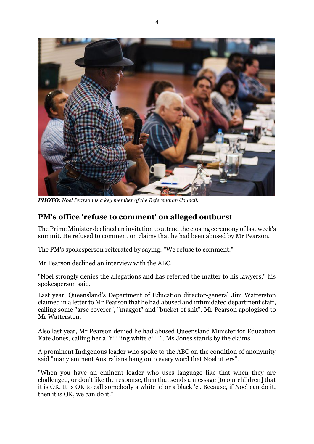

*PHOTO: Noel Pearson is a key member of the Referendum Council.*

## **PM's office 'refuse to comment' on alleged outburst**

The Prime Minister declined an invitation to attend the closing ceremony of last week's summit. He refused to comment on claims that he had been abused by Mr Pearson.

The PM's spokesperson reiterated by saying: "We refuse to comment."

Mr Pearson declined an interview with the ABC.

"Noel strongly denies the allegations and has referred the matter to his lawyers," his spokesperson said.

Last year, Queensland's Department of Education director-general Jim Watterston claimed in a letter to Mr Pearson that he had abused and intimidated department staff, calling some "arse coverer", "maggot" and "bucket of shit". Mr Pearson apologised to Mr Watterston.

Also last year, Mr Pearson denied he had abused Queensland Minister for Education Kate Jones, calling her a "f\*\*\*ing white c\*\*\*". Ms Jones stands by the claims.

A prominent Indigenous leader who spoke to the ABC on the condition of anonymity said "many eminent Australians hang onto every word that Noel utters".

"When you have an eminent leader who uses language like that when they are challenged, or don't like the response, then that sends a message [to our children] that it is OK. It is OK to call somebody a white 'c' or a black 'c'. Because, if Noel can do it, then it is OK, we can do it."